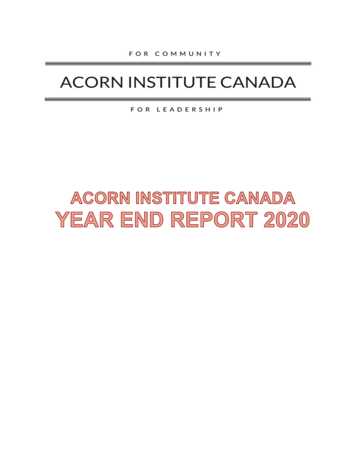## **ACORN INSTITUTE CANADA**

FOR LEADERSHIP

# ACORN INSTITUTE CANADA YEAR END REPORT 2020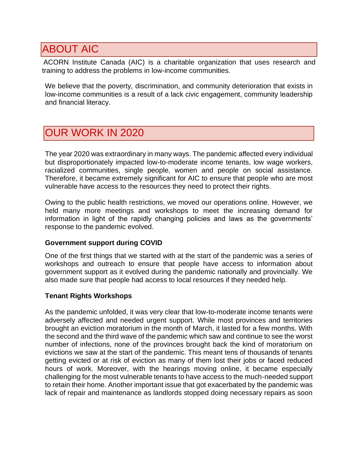## ABOUT AIC

ACORN Institute Canada (AIC) is a charitable organization that uses research and training to address the problems in low-income communities.

We believe that the poverty, discrimination, and community deterioration that exists in low-income communities is a result of a lack civic engagement, community leadership and financial literacy.

### OUR WORK IN 2020

The year 2020 was extraordinary in many ways. The pandemic affected every individual but disproportionately impacted low-to-moderate income tenants, low wage workers, racialized communities, single people, women and people on social assistance. Therefore, it became extremely significant for AIC to ensure that people who are most vulnerable have access to the resources they need to protect their rights.

Owing to the public health restrictions, we moved our operations online. However, we held many more meetings and workshops to meet the increasing demand for information in light of the rapidly changing policies and laws as the governments' response to the pandemic evolved.

#### **Government support during COVID**

One of the first things that we started with at the start of the pandemic was a series of workshops and outreach to ensure that people have access to information about government support as it evolved during the pandemic nationally and provincially. We also made sure that people had access to local resources if they needed help.

#### **Tenant Rights Workshops**

As the pandemic unfolded, it was very clear that low-to-moderate income tenants were adversely affected and needed urgent support. While most provinces and territories brought an eviction moratorium in the month of March, it lasted for a few months. With the second and the third wave of the pandemic which saw and continue to see the worst number of infections, none of the provinces brought back the kind of moratorium on evictions we saw at the start of the pandemic. This meant tens of thousands of tenants getting evicted or at risk of eviction as many of them lost their jobs or faced reduced hours of work. Moreover, with the hearings moving online, it became especially challenging for the most vulnerable tenants to have access to the much-needed support to retain their home. Another important issue that got exacerbated by the pandemic was lack of repair and maintenance as landlords stopped doing necessary repairs as soon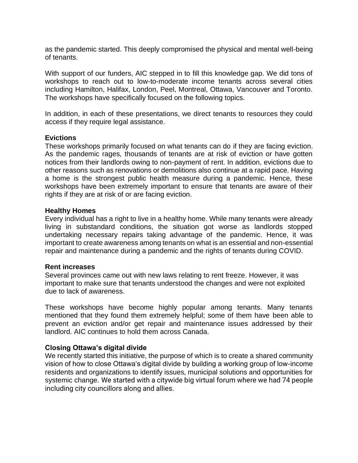as the pandemic started. This deeply compromised the physical and mental well-being of tenants.

With support of our funders, AIC stepped in to fill this knowledge gap. We did tons of workshops to reach out to low-to-moderate income tenants across several cities including Hamilton, Halifax, London, Peel, Montreal, Ottawa, Vancouver and Toronto. The workshops have specifically focused on the following topics.

In addition, in each of these presentations, we direct tenants to resources they could access if they require legal assistance.

#### **Evictions**

These workshops primarily focused on what tenants can do if they are facing eviction. As the pandemic rages, thousands of tenants are at risk of eviction or have gotten notices from their landlords owing to non-payment of rent. In addition, evictions due to other reasons such as renovations or demolitions also continue at a rapid pace. Having a home is the strongest public health measure during a pandemic. Hence, these workshops have been extremely important to ensure that tenants are aware of their rights if they are at risk of or are facing eviction.

#### **Healthy Homes**

Every individual has a right to live in a healthy home. While many tenants were already living in substandard conditions, the situation got worse as landlords stopped undertaking necessary repairs taking advantage of the pandemic. Hence, it was important to create awareness among tenants on what is an essential and non-essential repair and maintenance during a pandemic and the rights of tenants during COVID.

#### **Rent increases**

Several provinces came out with new laws relating to rent freeze. However, it was important to make sure that tenants understood the changes and were not exploited due to lack of awareness.

These workshops have become highly popular among tenants. Many tenants mentioned that they found them extremely helpful; some of them have been able to prevent an eviction and/or get repair and maintenance issues addressed by their landlord. AIC continues to hold them across Canada.

#### **Closing Ottawa's digital divide**

We recently started this initiative, the purpose of which is to create a shared community vision of how to close Ottawa's digital divide by building a working group of low-income residents and organizations to identify issues, municipal solutions and opportunities for systemic change. We started with a citywide big virtual forum where we had 74 people including city councillors along and allies.